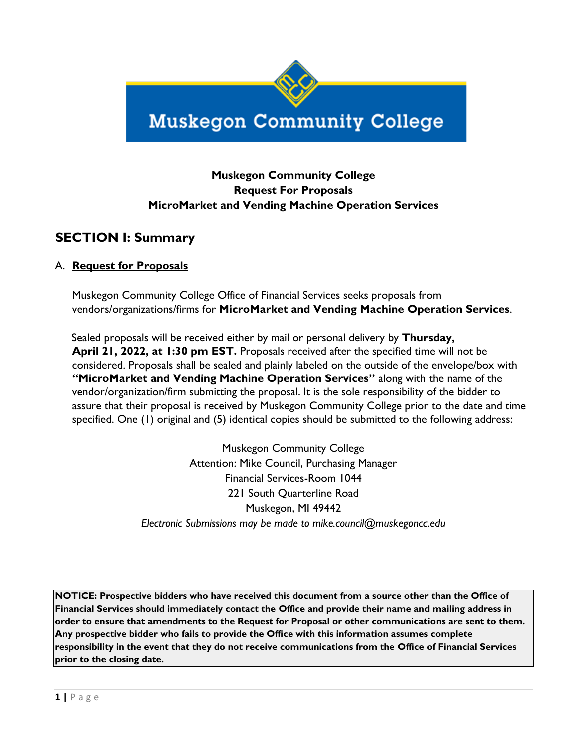

# **Muskegon Community College**

### **Muskegon Community College Request For Proposals MicroMarket and Vending Machine Operation Services**

### **SECTION I: Summary**

### A. **Request for Proposals**

Muskegon Community College Office of Financial Services seeks proposals from vendors/organizations/firms for **MicroMarket and Vending Machine Operation Services**.

Sealed proposals will be received either by mail or personal delivery by **Thursday, April 21, 2022, at 1:30 pm EST.** Proposals received after the specified time will not be considered. Proposals shall be sealed and plainly labeled on the outside of the envelope/box with **"MicroMarket and Vending Machine Operation Services"** along with the name of the vendor/organization/firm submitting the proposal. It is the sole responsibility of the bidder to assure that their proposal is received by Muskegon Community College prior to the date and time specified. One (1) original and (5) identical copies should be submitted to the following address:

> Muskegon Community College Attention: Mike Council, Purchasing Manager Financial Services-Room 1044 221 South Quarterline Road Muskegon, MI 49442 *Electronic Submissions may be made to mike.council@muskegoncc.edu*

**NOTICE: Prospective bidders who have received this document from a source other than the Office of Financial Services should immediately contact the Office and provide their name and mailing address in order to ensure that amendments to the Request for Proposal or other communications are sent to them. Any prospective bidder who fails to provide the Office with this information assumes complete responsibility in the event that they do not receive communications from the Office of Financial Services prior to the closing date.**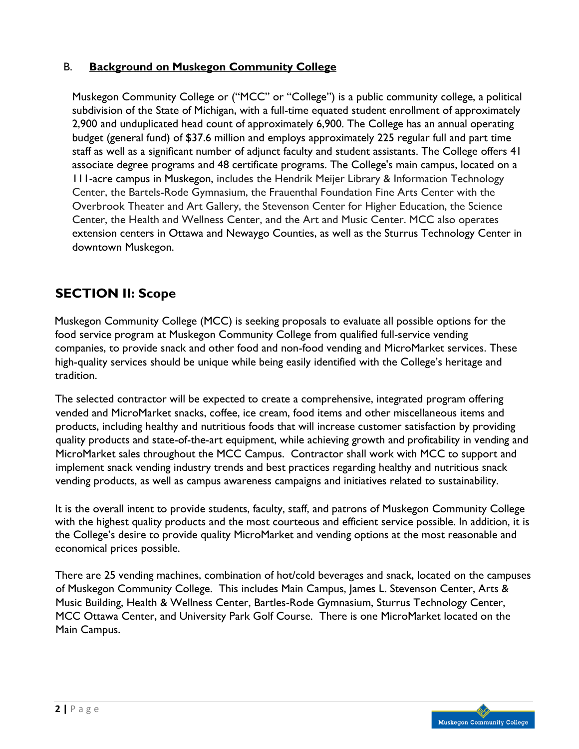### B. **Background on Muskegon Community College**

Muskegon Community College or ("MCC" or "College") is a public [community co](https://en.wikipedia.org/wiki/Community_college)llege, a political subdivision of the State of Michigan, with a full-time equated student enrollment of approximately 2,900 and unduplicated head count of approximately 6,900. The College has an annual operating budget (general fund) of \$37.6 million and employs approximately 225 regular full and part time staff as well as a significant number of adjunct faculty and student assistants. The College offers 41 associate degree programs and 48 certificate programs. The College's main campus, located on a 111-acre campus in Muskegon, includes the Hendrik Meijer Library & Information Technology Center, the Bartels-Rode Gymnasium, the Frauenthal Foundation Fine Arts Center with the Overbrook Theater and Art Gallery, the Stevenson Center for Higher Education, the Science Center, the Health and Wellness Center, and the Art and Music Center. MCC also operates extension centers in Ottawa and Newaygo Counties, as well as the Sturrus Technology Center in downtown Muskegon.

# **SECTION II: Scope**

Muskegon Community College (MCC) is seeking proposals to evaluate all possible options for the food service program at Muskegon Community College from qualified full-service vending companies, to provide snack and other food and non-food vending and MicroMarket services. These high-quality services should be unique while being easily identified with the College's heritage and tradition.

The selected contractor will be expected to create a comprehensive, integrated program offering vended and MicroMarket snacks, coffee, ice cream, food items and other miscellaneous items and products, including healthy and nutritious foods that will increase customer satisfaction by providing quality products and state-of-the-art equipment, while achieving growth and profitability in vending and MicroMarket sales throughout the MCC Campus. Contractor shall work with MCC to support and implement snack vending industry trends and best practices regarding healthy and nutritious snack vending products, as well as campus awareness campaigns and initiatives related to sustainability.

It is the overall intent to provide students, faculty, staff, and patrons of Muskegon Community College with the highest quality products and the most courteous and efficient service possible. In addition, it is the College's desire to provide quality MicroMarket and vending options at the most reasonable and economical prices possible.

There are 25 vending machines, combination of hot/cold beverages and snack, located on the campuses of Muskegon Community College. This includes Main Campus, James L. Stevenson Center, Arts & Music Building, Health & Wellness Center, Bartles-Rode Gymnasium, Sturrus Technology Center, MCC Ottawa Center, and University Park Golf Course. There is one MicroMarket located on the Main Campus.

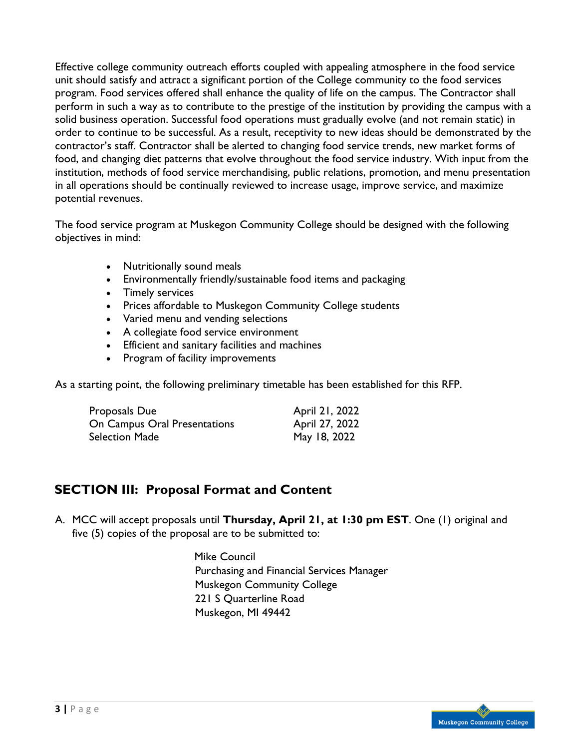Effective college community outreach efforts coupled with appealing atmosphere in the food service unit should satisfy and attract a significant portion of the College community to the food services program. Food services offered shall enhance the quality of life on the campus. The Contractor shall perform in such a way as to contribute to the prestige of the institution by providing the campus with a solid business operation. Successful food operations must gradually evolve (and not remain static) in order to continue to be successful. As a result, receptivity to new ideas should be demonstrated by the contractor's staff. Contractor shall be alerted to changing food service trends, new market forms of food, and changing diet patterns that evolve throughout the food service industry. With input from the institution, methods of food service merchandising, public relations, promotion, and menu presentation in all operations should be continually reviewed to increase usage, improve service, and maximize potential revenues.

The food service program at Muskegon Community College should be designed with the following objectives in mind:

- Nutritionally sound meals
- Environmentally friendly/sustainable food items and packaging
- Timely services
- Prices affordable to Muskegon Community College students
- Varied menu and vending selections
- A collegiate food service environment
- Efficient and sanitary facilities and machines
- Program of facility improvements

As a starting point, the following preliminary timetable has been established for this RFP.

| Proposals Due                | April 21, 2022 |
|------------------------------|----------------|
| On Campus Oral Presentations | April 27, 2022 |
| Selection Made               | May 18, 2022   |

### **SECTION III: Proposal Format and Content**

A. MCC will accept proposals until **Thursday, April 21, at 1:30 pm EST**. One (1) original and five (5) copies of the proposal are to be submitted to:

> Mike Council Purchasing and Financial Services Manager Muskegon Community College 221 S Quarterline Road Muskegon, MI 49442

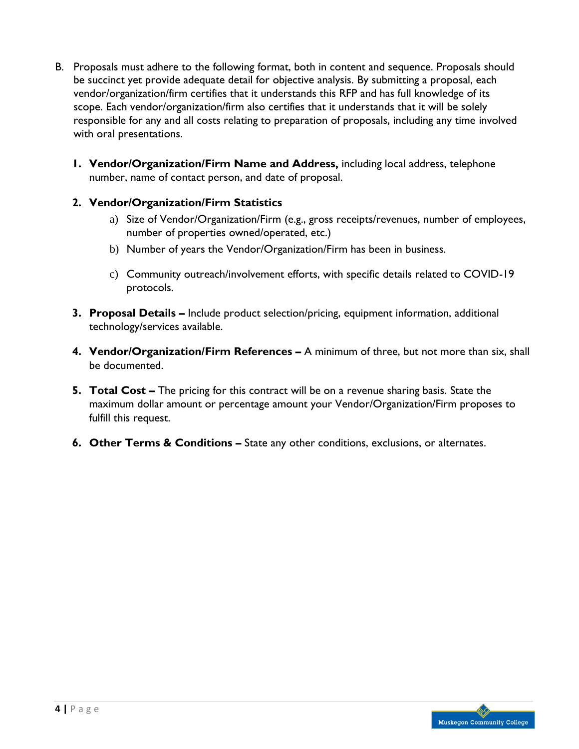- B. Proposals must adhere to the following format, both in content and sequence. Proposals should be succinct yet provide adequate detail for objective analysis. By submitting a proposal, each vendor/organization/firm certifies that it understands this RFP and has full knowledge of its scope. Each vendor/organization/firm also certifies that it understands that it will be solely responsible for any and all costs relating to preparation of proposals, including any time involved with oral presentations.
	- **1. Vendor/Organization/Firm Name and Address,** including local address, telephone number, name of contact person, and date of proposal.

### **2. Vendor/Organization/Firm Statistics**

- a) Size of Vendor/Organization/Firm (e.g., gross receipts/revenues, number of employees, number of properties owned/operated, etc.)
- b) Number of years the Vendor/Organization/Firm has been in business.
- c) Community outreach/involvement efforts, with specific details related to COVID-19 protocols.
- **3. Proposal Details –** Include product selection/pricing, equipment information, additional technology/services available.
- **4. Vendor/Organization/Firm References –** A minimum of three, but not more than six, shall be documented.
- **5. Total Cost –** The pricing for this contract will be on a revenue sharing basis. State the maximum dollar amount or percentage amount your Vendor/Organization/Firm proposes to fulfill this request.
- **6. Other Terms & Conditions –** State any other conditions, exclusions, or alternates.

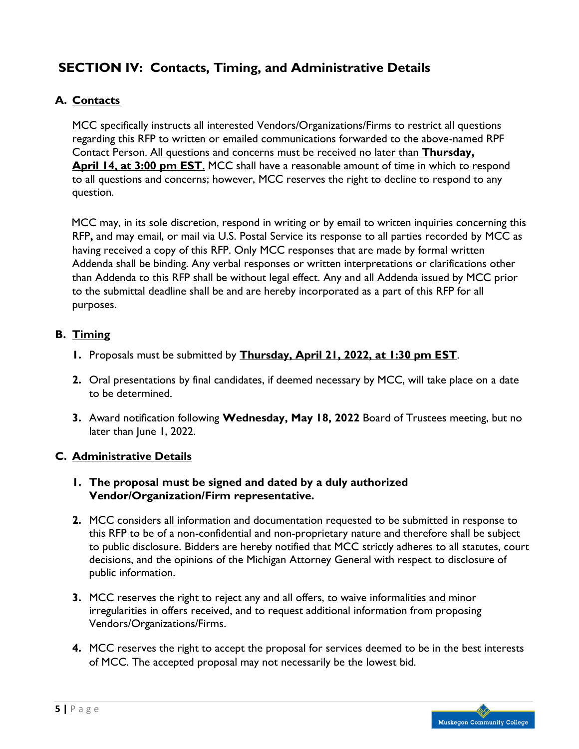# **SECTION IV: Contacts, Timing, and Administrative Details**

### **A. Contacts**

MCC specifically instructs all interested Vendors/Organizations/Firms to restrict all questions regarding this RFP to written or emailed communications forwarded to the above-named RPF Contact Person. All questions and concerns must be received no later than **Thursday, April 14, at 3:00 pm EST**. MCC shall have a reasonable amount of time in which to respond to all questions and concerns; however, MCC reserves the right to decline to respond to any question.

MCC may, in its sole discretion, respond in writing or by email to written inquiries concerning this RFP**,** and may email, or mail via U.S. Postal Service its response to all parties recorded by MCC as having received a copy of this RFP. Only MCC responses that are made by formal written Addenda shall be binding. Any verbal responses or written interpretations or clarifications other than Addenda to this RFP shall be without legal effect. Any and all Addenda issued by MCC prior to the submittal deadline shall be and are hereby incorporated as a part of this RFP for all purposes.

#### **B. Timing**

- **1.** Proposals must be submitted by **Thursday, April 21, 2022, at 1:30 pm EST**.
- **2.** Oral presentations by final candidates, if deemed necessary by MCC, will take place on a date to be determined.
- **3.** Award notification following **Wednesday, May 18, 2022** Board of Trustees meeting, but no later than June 1, 2022.

#### **C. Administrative Details**

- **1. The proposal must be signed and dated by a duly authorized Vendor/Organization/Firm representative.**
- **2.** MCC considers all information and documentation requested to be submitted in response to this RFP to be of a non-confidential and non-proprietary nature and therefore shall be subject to public disclosure. Bidders are hereby notified that MCC strictly adheres to all statutes, court decisions, and the opinions of the Michigan Attorney General with respect to disclosure of public information.
- **3.** MCC reserves the right to reject any and all offers, to waive informalities and minor irregularities in offers received, and to request additional information from proposing Vendors/Organizations/Firms.
- **4.** MCC reserves the right to accept the proposal for services deemed to be in the best interests of MCC. The accepted proposal may not necessarily be the lowest bid.

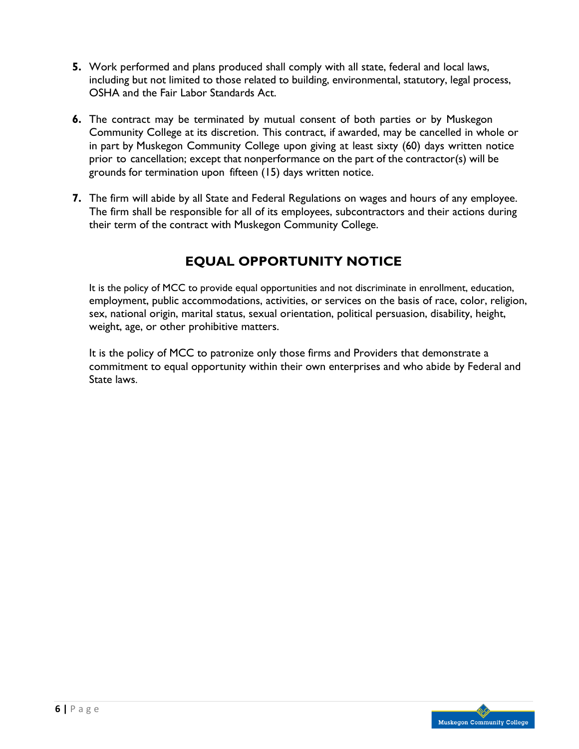- **5.** Work performed and plans produced shall comply with all state, federal and local laws, including but not limited to those related to building, environmental, statutory, legal process, OSHA and the Fair Labor Standards Act.
- **6.** The contract may be terminated by mutual consent of both parties or by Muskegon Community College at its discretion. This contract, if awarded, may be cancelled in whole or in part by Muskegon Community College upon giving at least sixty (60) days written notice prior to cancellation; except that nonperformance on the part of the contractor(s) will be grounds for termination upon fifteen (15) days written notice.
- **7.** The firm will abide by all State and Federal Regulations on wages and hours of any employee. The firm shall be responsible for all of its employees, subcontractors and their actions during their term of the contract with Muskegon Community College.

# **EQUAL OPPORTUNITY NOTICE**

It is the policy of MCC to provide equal opportunities and not discriminate in enrollment, education, employment, public accommodations, activities, or services on the basis of race, color, religion, sex, national origin, marital status, sexual orientation, political persuasion, disability, height, weight, age, or other prohibitive matters.

It is the policy of MCC to patronize only those firms and Providers that demonstrate a commitment to equal opportunity within their own enterprises and who abide by Federal and State laws.

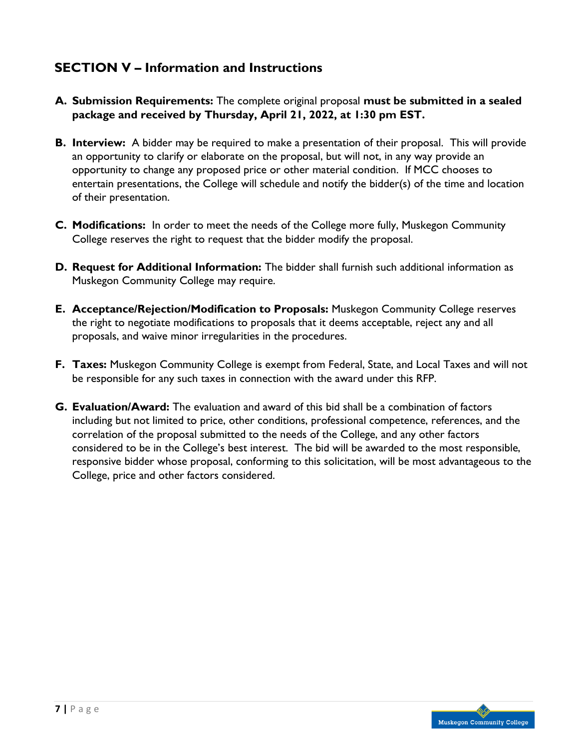# **SECTION V – Information and Instructions**

- **A. Submission Requirements:** The complete original proposal **must be submitted in a sealed package and received by Thursday, April 21, 2022, at 1:30 pm EST.**
- **B. Interview:** A bidder may be required to make a presentation of their proposal. This will provide an opportunity to clarify or elaborate on the proposal, but will not, in any way provide an opportunity to change any proposed price or other material condition. If MCC chooses to entertain presentations, the College will schedule and notify the bidder(s) of the time and location of their presentation.
- **C. Modifications:** In order to meet the needs of the College more fully, Muskegon Community College reserves the right to request that the bidder modify the proposal.
- **D. Request for Additional Information:** The bidder shall furnish such additional information as Muskegon Community College may require.
- **E. Acceptance/Rejection/Modification to Proposals:** Muskegon Community College reserves the right to negotiate modifications to proposals that it deems acceptable, reject any and all proposals, and waive minor irregularities in the procedures.
- **F. Taxes:** Muskegon Community College is exempt from Federal, State, and Local Taxes and will not be responsible for any such taxes in connection with the award under this RFP.
- **G. Evaluation/Award:** The evaluation and award of this bid shall be a combination of factors including but not limited to price, other conditions, professional competence, references, and the correlation of the proposal submitted to the needs of the College, and any other factors considered to be in the College's best interest. The bid will be awarded to the most responsible, responsive bidder whose proposal, conforming to this solicitation, will be most advantageous to the College, price and other factors considered.

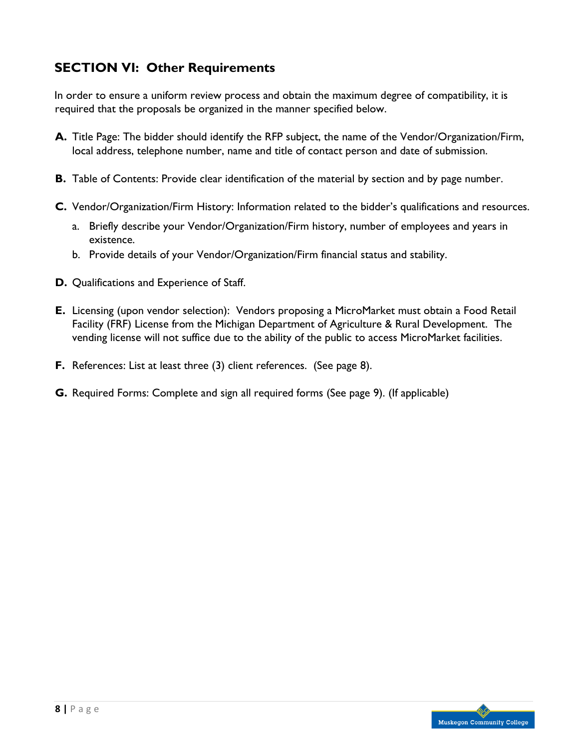# **SECTION VI: Other Requirements**

In order to ensure a uniform review process and obtain the maximum degree of compatibility, it is required that the proposals be organized in the manner specified below.

- **A.** Title Page: The bidder should identify the RFP subject, the name of the Vendor/Organization/Firm, local address, telephone number, name and title of contact person and date of submission.
- **B.** Table of Contents: Provide clear identification of the material by section and by page number.
- **C.** Vendor/Organization/Firm History: Information related to the bidder's qualifications and resources.
	- a. Briefly describe your Vendor/Organization/Firm history, number of employees and years in existence.
	- b. Provide details of your Vendor/Organization/Firm financial status and stability.
- **D.** Qualifications and Experience of Staff.
- **E.** Licensing (upon vendor selection): Vendors proposing a MicroMarket must obtain a Food Retail Facility (FRF) License from the Michigan Department of Agriculture & Rural Development. The vending license will not suffice due to the ability of the public to access MicroMarket facilities.
- **F.** References: List at least three (3) client references. (See page 8).
- **G.** Required Forms: Complete and sign all required forms (See page 9). (If applicable)

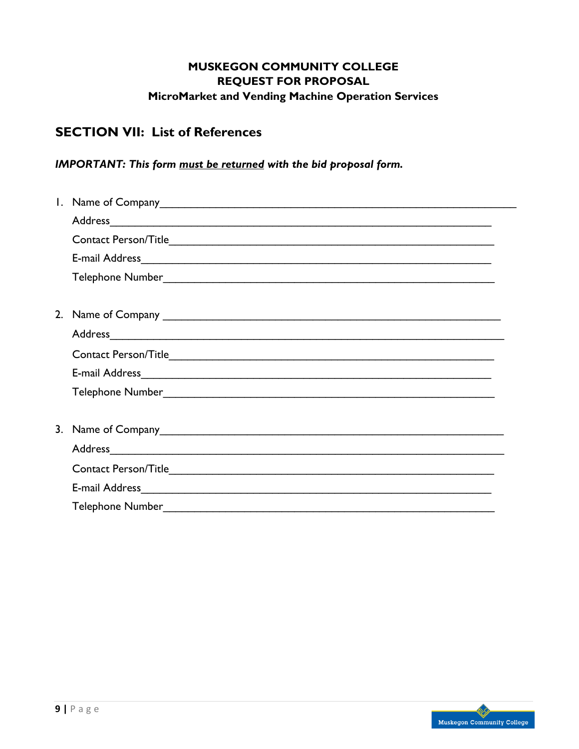### **MUSKEGON COMMUNITY COLLEGE REQUEST FOR PROPOSAL MicroMarket and Vending Machine Operation Services**

# **SECTION VII: List of References**

### *IMPORTANT: This form must be returned with the bid proposal form.*

| Address and the contract of the contract of the contract of the contract of the contract of the contract of the contract of the contract of the contract of the contract of the contract of the contract of the contract of th |
|--------------------------------------------------------------------------------------------------------------------------------------------------------------------------------------------------------------------------------|
|                                                                                                                                                                                                                                |
|                                                                                                                                                                                                                                |
|                                                                                                                                                                                                                                |
|                                                                                                                                                                                                                                |
|                                                                                                                                                                                                                                |
|                                                                                                                                                                                                                                |
|                                                                                                                                                                                                                                |
|                                                                                                                                                                                                                                |
|                                                                                                                                                                                                                                |
|                                                                                                                                                                                                                                |
|                                                                                                                                                                                                                                |
| Address Andreas Address Andreas Andreas Andreas Address Andreas Andreas Andreas Andreas Andreas Andreas Andre                                                                                                                  |
|                                                                                                                                                                                                                                |
|                                                                                                                                                                                                                                |
|                                                                                                                                                                                                                                |

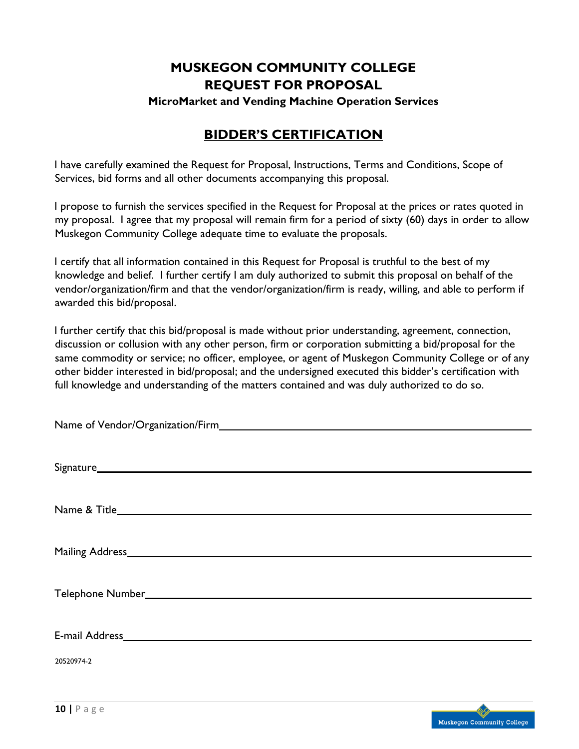# **MUSKEGON COMMUNITY COLLEGE REQUEST FOR PROPOSAL**

**MicroMarket and Vending Machine Operation Services**

## **BIDDER'S CERTIFICATION**

I have carefully examined the Request for Proposal, Instructions, Terms and Conditions, Scope of Services, bid forms and all other documents accompanying this proposal.

I propose to furnish the services specified in the Request for Proposal at the prices or rates quoted in my proposal. I agree that my proposal will remain firm for a period of sixty (60) days in order to allow Muskegon Community College adequate time to evaluate the proposals.

I certify that all information contained in this Request for Proposal is truthful to the best of my knowledge and belief. I further certify I am duly authorized to submit this proposal on behalf of the vendor/organization/firm and that the vendor/organization/firm is ready, willing, and able to perform if awarded this bid/proposal.

I further certify that this bid/proposal is made without prior understanding, agreement, connection, discussion or collusion with any other person, firm or corporation submitting a bid/proposal for the same commodity or service; no officer, employee, or agent of Muskegon Community College or of any other bidder interested in bid/proposal; and the undersigned executed this bidder's certification with full knowledge and understanding of the matters contained and was duly authorized to do so.

| 20520974-2 |
|------------|